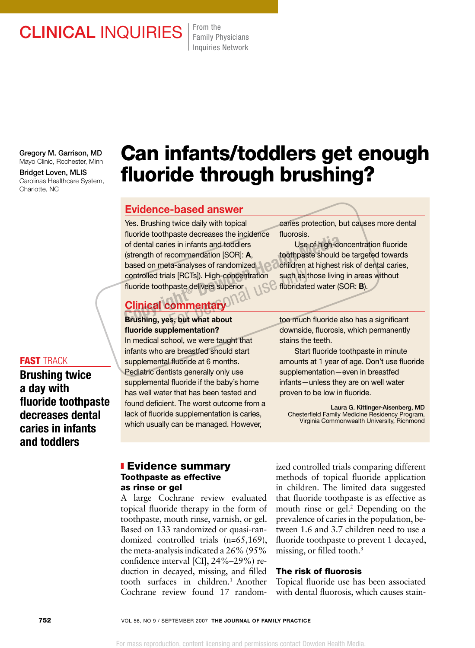## CLINICAL INQUIRIES From the

Family Physicians Inquiries Network

Gregory M. Garrison, MD Mayo Clinic, Rochester, Minn

Bridget Loven, MLIS Carolinas Healthcare System, Charlotte, NC

### fast track

Brushing twice a day with fluoride toothpaste decreases dental caries in infants and toddlers

# Can infants/toddlers get enough fluoride through brushing?

### Evidence-based answer

Yes. Brushing twice daily with topical fluoride toothpaste decreases the incidence of dental caries in infants and toddlers (strength of recommendation [SOR]: A, based on meta-analyses of randomized controlled trials [RCTs]). High-concentration fluoride toothpaste delivers superior For the matrice of dental caries in infants and toddlers<br>
(strength of recommendation [SOR]: **A**, toothpaste should b<br>
based on meta-analyses of randomized<br>
controlled trials [RCTs]). High-concentration such as those livin For personal use (RCTs). High-concentration such as the paste delivers superior<br>paste delivers superior fluoridate<br>**Commentary** too much state to be the community

### Clinical commentary

### Brushing, yes, but what about fluoride supplementation?

In medical school, we were taught that infants who are breastfed should start supplemental fluoride at 6 months. Pediatric dentists generally only use supplemental fluoride if the baby's home has well water that has been tested and found deficient. The worst outcome from a lack of fluoride supplementation is caries, which usually can be managed. However,

caries protection, but causes more dental fluorosis.

 Use of high-concentration fluoride toothpaste should be targeted towards children at highest risk of dental caries, such as those living in areas without fluoridated water (SOR: B).

too much fluoride also has a significant downside, fluorosis, which permanently stains the teeth.

Start fluoride toothpaste in minute amounts at 1 year of age. Don't use fluoride supplementation—even in breastfed infants—unless they are on well water proven to be low in fluoride.

Laura G. Kittinger-Aisenberg, MD Chesterfield Family Medicine Residency Program, Virginia Commonwealth University, Richmond

### **Evidence summary** Toothpaste as effective as rinse or gel

A large Cochrane review evaluated topical fluoride therapy in the form of toothpaste, mouth rinse, varnish, or gel. Based on 133 randomized or quasi-randomized controlled trials (n=65,169), the meta-analysis indicated a 26% (95% confidence interval [CI], 24%–29%) reduction in decayed, missing, and filled tooth surfaces in children.<sup>1</sup> Another Cochrane review found 17 randomized controlled trials comparing different methods of topical fluoride application in children. The limited data suggested that fluoride toothpaste is as effective as mouth rinse or gel.<sup>2</sup> Depending on the prevalence of caries in the population, between 1.6 and 3.7 children need to use a fluoride toothpaste to prevent 1 decayed, missing, or filled tooth.<sup>3</sup>

### The risk of fluorosis

Topical fluoride use has been associated with dental fluorosis, which causes stain-